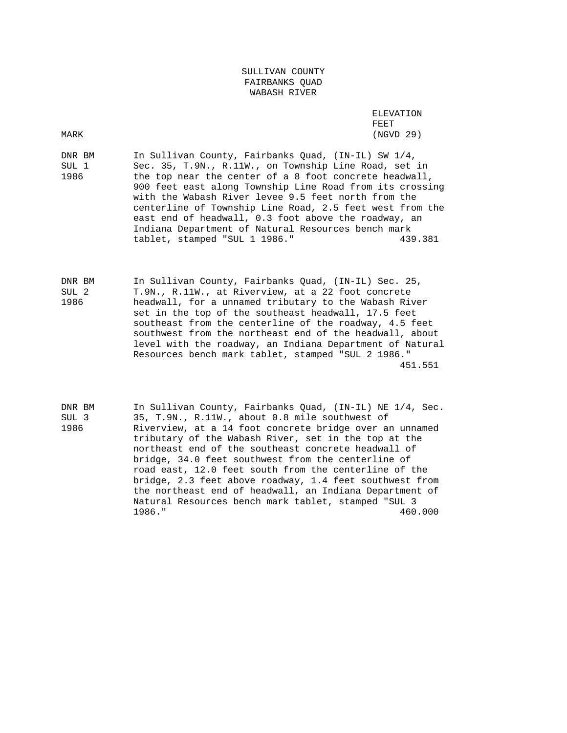## SULLIVAN COUNTY FAIRBANKS QUAD WABASH RIVER

 ELEVATION FEET MARK (NGVD 29)

DNR BM In Sullivan County, Fairbanks Quad, (IN-IL) SW 1/4, SUL 1 Sec. 35, T.9N., R.11W., on Township Line Road, set in 1986 the top near the center of a 8 foot concrete headwall, 900 feet east along Township Line Road from its crossing with the Wabash River levee 9.5 feet north from the centerline of Township Line Road, 2.5 feet west from the east end of headwall, 0.3 foot above the roadway, an Indiana Department of Natural Resources bench mark tablet, stamped "SUL 1 1986." 439.381

DNR BM In Sullivan County, Fairbanks Quad, (IN-IL) Sec. 25, SUL 2 T.9N., R.11W., at Riverview, at a 22 foot concrete 1986 headwall, for a unnamed tributary to the Wabash River set in the top of the southeast headwall, 17.5 feet southeast from the centerline of the roadway, 4.5 feet southwest from the northeast end of the headwall, about level with the roadway, an Indiana Department of Natural Resources bench mark tablet, stamped "SUL 2 1986." 451.551

DNR BM In Sullivan County, Fairbanks Quad, (IN-IL) NE 1/4, Sec. SUL 3 35, T.9N., R.11W., about 0.8 mile southwest of 1986 Riverview, at a 14 foot concrete bridge over an unnamed tributary of the Wabash River, set in the top at the northeast end of the southeast concrete headwall of bridge, 34.0 feet southwest from the centerline of road east, 12.0 feet south from the centerline of the bridge, 2.3 feet above roadway, 1.4 feet southwest from the northeast end of headwall, an Indiana Department of Natural Resources bench mark tablet, stamped "SUL 3 1986." 460.000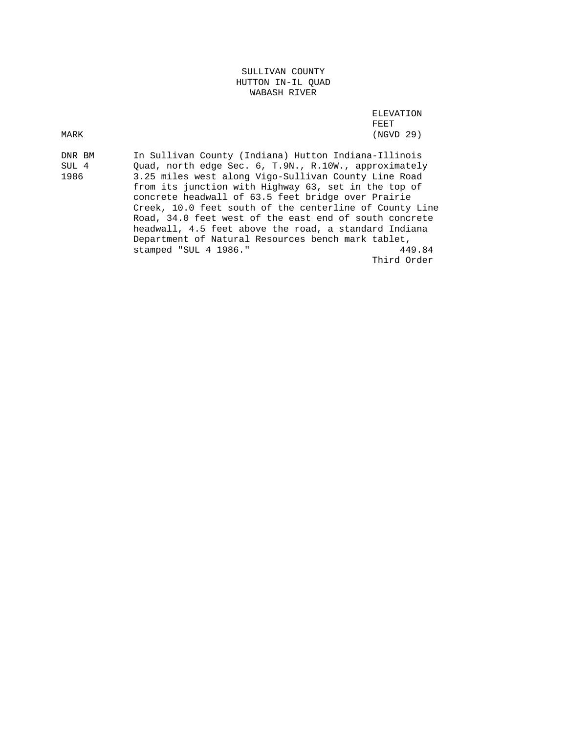## SULLIVAN COUNTY HUTTON IN-IL QUAD WABASH RIVER

 ELEVATION FEET MARK (NGVD 29)

DNR BM In Sullivan County (Indiana) Hutton Indiana-Illinois SUL 4 Quad, north edge Sec. 6, T.9N., R.10W., approximately 1986 3.25 miles west along Vigo-Sullivan County Line Road from its junction with Highway 63, set in the top of concrete headwall of 63.5 feet bridge over Prairie Creek, 10.0 feet south of the centerline of County Line Road, 34.0 feet west of the east end of south concrete headwall, 4.5 feet above the road, a standard Indiana Department of Natural Resources bench mark tablet,<br>stamped "SUL 4 1986." 449.84 stamped "SUL 4 1986." Third Order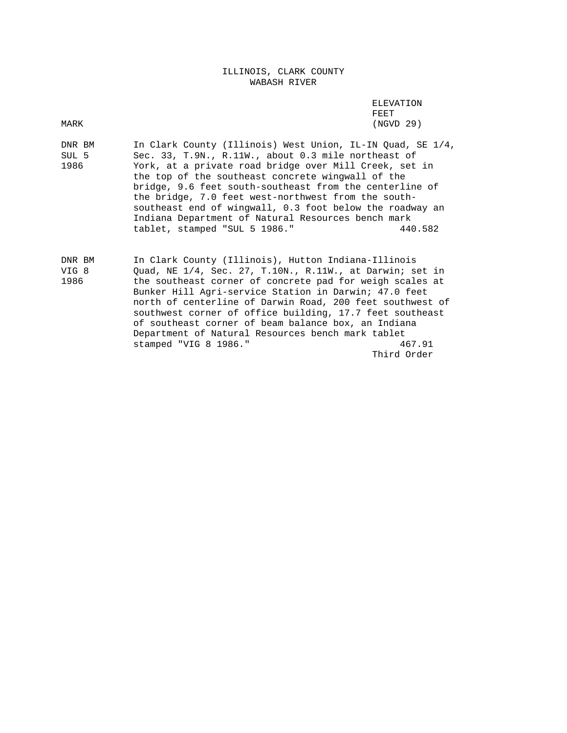ILLINOIS, CLARK COUNTY WABASH RIVER

 ELEVATION FEET AND RESERVE TO A RESERVE THE STATE OF THE STATE OF THE STATE OF THE STATE OF THE STATE OF THE STATE OF THE MARK (NGVD 29)

DNR BM In Clark County (Illinois) West Union, IL-IN Quad, SE 1/4, SUL 5 Sec. 33, T.9N., R.11W., about 0.3 mile northeast of 1986 York, at a private road bridge over Mill Creek, set in the top of the southeast concrete wingwall of the bridge, 9.6 feet south-southeast from the centerline of the bridge, 7.0 feet west-northwest from the south southeast end of wingwall, 0.3 foot below the roadway an Indiana Department of Natural Resources bench mark tablet, stamped "SUL 5 1986." 440.582

DNR BM In Clark County (Illinois), Hutton Indiana-Illinois VIG 8 Quad, NE 1/4, Sec. 27, T.10N., R.11W., at Darwin; set in 1986 the southeast corner of concrete pad for weigh scales at Bunker Hill Agri-service Station in Darwin; 47.0 feet north of centerline of Darwin Road, 200 feet southwest of southwest corner of office building, 17.7 feet southeast of southeast corner of beam balance box, an Indiana Department of Natural Resources bench mark tablet stamped "VIG 8 1986." 467.91 Third Order